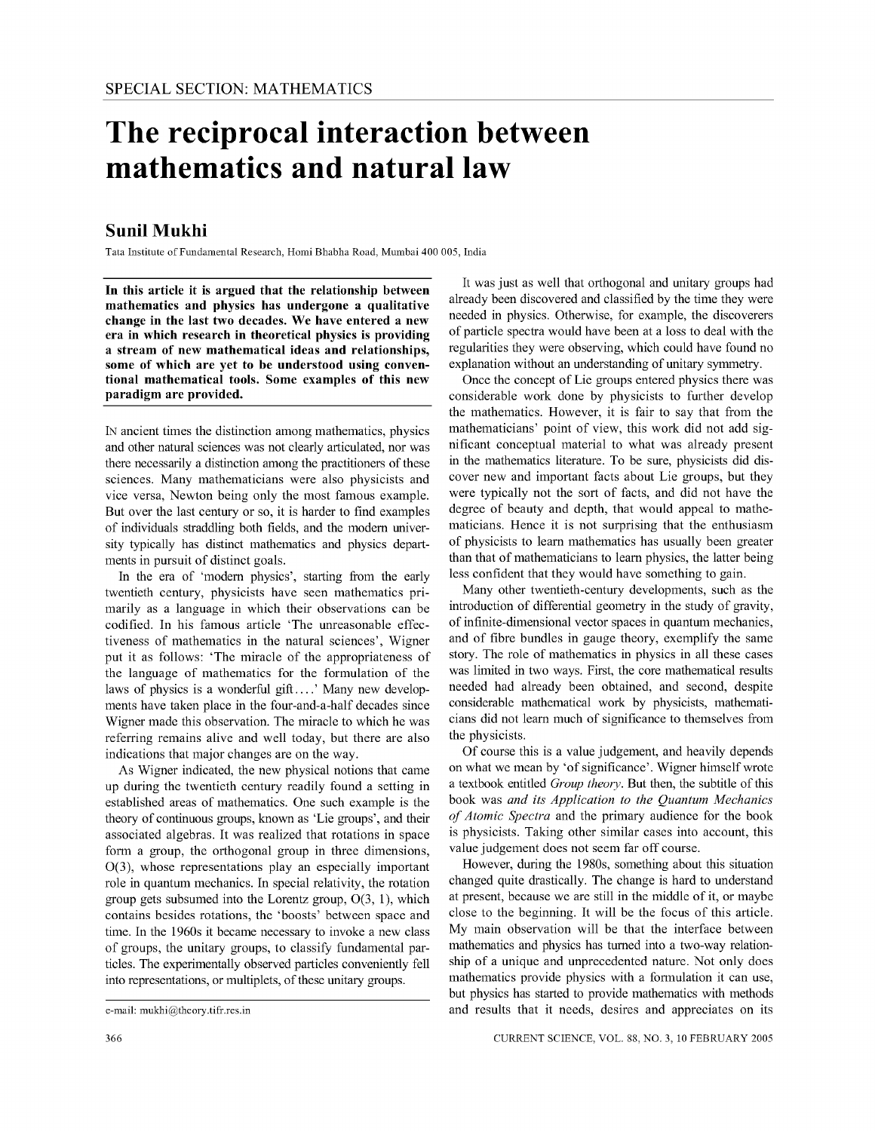# **The reciprocal interaction between mathematics and** natural law

# **Sunil Mukhi**

Tata Institute of Fundamental Research, Homi Bhabha Road, Mumbai 400005, India

**In** this article it is argued that the relationship between mathematics and physics has undergone a qualitative change in the last two decades. We have entered a new era in which research in theoretical physics is providing a stream of new mathematical ideas and relationships, some of which are yet to be understood using conventional mathematical tools. Some examples of this new paradigm are provided.

IN ancient times the distinction among mathematics, physics and other natural sciences was not clearly articulated, nor was there necessarily a distinction among the practitioners of these sciences, Many mathematicians were also physicists and vice versa, Newton being only the most famous example, But over the last century or so, it is harder to find examples of individuals straddling both fields, and the modem university typically has distinct mathematics and physics departments in pursuit of distinct goals,

In the era of 'modem physics', starting from the early twentieth century, physicists have seen mathematics primarily as a language in which their observations can be codified, In his famous article 'The unreasonable effectiveness of mathematics in the natural sciences', Wigner put it as follows: 'The miracle of the appropriateness of the language of mathematics for the formulation of the laws of physics is a wonderful gift....' Many new developments have taken place in the four-and-a-half decades since Wigner made this observation, The miracle to which he was referring remains alive and well today, but there are also indications that major changes are on the way,

As Wigner indicated, the new physical notions that came up during the twentieth century readily found a setting in established areas of mathematics, One such example is the theory of continuous groups, known as 'Lie groups', and their associated algebras, It was realized that rotations in space form a group, the orthogonal group in three dimensions, 0(3), whose representations play an especially important role in quantum mechanics, In special relativity, the rotation group gets subsumed into the Lorentz group, 0(3, I), which contains besides rotations, the 'boosts' between space and time, In the 1960s it became necessary to invoke a new class of groups, the unitary groups, to classify fundamental particles, The experimentally observed particles conveniently fell into representations, or multiplets, of these unitary groups,

It was just as well that orthogonal and unitary groups had already been discovered and classified by the time they were needed in physics. Otherwise, for example, the discoverers of particle spectra would have been at a loss to deal with the regularities they were observing, which could have found no explanation without an understanding of unitary symmetry.

Once the concept of Lie groups entered physics there was considerable work done by physicists to further develop the mathematics. However, it is fair to say that from the mathematicians' point of view, this work did not add significant conceptual material to what was already present in the mathematics literature. To be sure, physicists did discover new and important facts about Lie groups, but they were typically not the sort of facts, and did not have the degree of beauty and depth, that would appeal to mathematicians. Hence it is not surprising that the enthusiasm of physicists to learn mathematics has usually been greater than that of mathematicians to learn physics, the latter being less confident that they would have something to gain.

Many other twentieth-century developments, such as the introduction of differential geometry in the study of gravity, of infinite-dimensional vector spaces in quantum mechanics, and of fibre bundles in gauge theory, exemplify the same story. The role of mathematics in physics in all these cases was limited in two ways. First, the core mathematical results needed had already been obtained, and second, despite considerable mathematical work by physicists, mathematicians did not learn much of significance to themselves from the physicists.

Of course this is a value judgement, and heavily depends on what we mean by 'of significance'. Wigner himself wrote a textbook entitled *Group theory*. But then, the subtitle of this book was *and its Application to the Quantum Mechanics of Atomic Spectra* and the primary audience for the book is physicists. Taking other similar cases into account, this value judgement does not seem far off course.

However, during the 1980s, something about this situation changed quite drastically. The change is hard to understand at present, because we are still in the middle of it, or maybe close to the beginning. It will be the focus of this article. My main observation will be that the interface between mathematics and physics has turned into a two-way relationship of a unique and unprecedented nature. Not only does mathematics provide physics with a formulation it can use, but physics has started to provide mathematics with methods and results that it needs, desires and appreciates on its

e-mail: mukhi@theory.tifr.res.in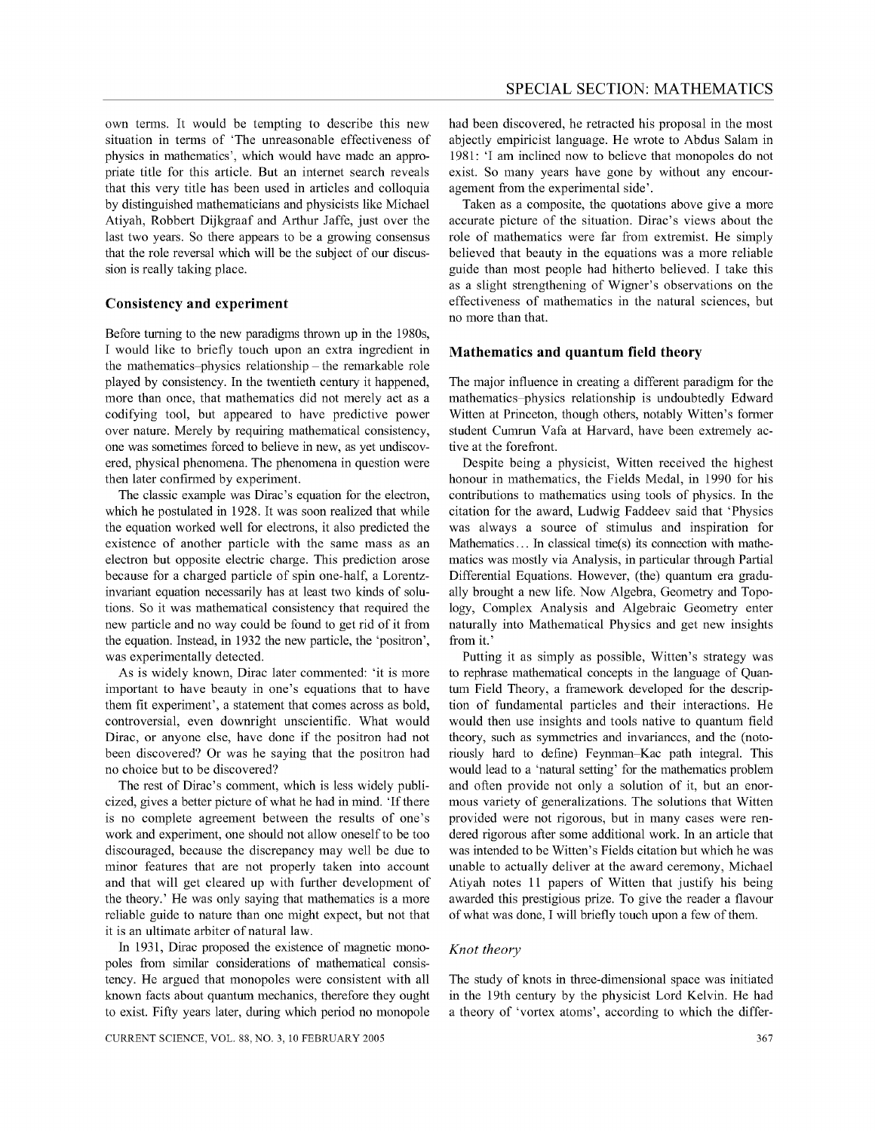own terms. It would be tempting to describe this new situation in terms of 'The unreasonable effectiveness of physics in mathematics', which would have made an appropriate title for this article. But an internet search reveals that this very title has been used in articles and colloquia by distinguished mathematicians and physicists like Michael Atiyah, Robbert Dijkgraaf and Arthur Jaffe, just over the last two years. So there appears to be a growing consensus that the role reversal which will be the subject of our discussion is really taking place.

## **Consistency and experiment**

Before turning to the new paradigms thrown up in the 1980s, I would like to briefly touch upon an extra ingredient in the mathematics-physics relationship – the remarkable role played by consistency. In the twentieth century it happened, more than once, that mathematics did not merely act as a codifying tool, but appeared to have predictive power over nature. Merely by requiring mathematical consistency, one was sometimes forced to believe in new, as yet undiscovered, physical phenomena. The phenomena in question were then later confirmed by experiment.

The classic example was Dirac's equation for the electron, which he postulated in 1928. It was soon realized that while the equation worked well for electrons, it also predicted the existence of another particle with the same mass as an electron but opposite electric charge. This prediction arose because for a charged particle of spin one-half, a Lorentzinvariant equation necessarily has at least two kinds of solutions. So it was mathematical consistency that required the new particle and no way could be found to get rid of it from the equation. Instead, in 1932 the new particle, the 'positron', was experimentally detected.

As is widely known, Dirac later commented: 'it is more important to have beauty in one's equations that to have them fit experiment', a statement that comes across as bold, controversial, even downright unscientific. What would Dirac, or anyone else, have done if the positron had not been discovered? Or was he saying that the positron had no choice but to be discovered?

The rest of Dirac's comment, which is less widely publicized, gives a better picture of what he had in mind. 'If there is no complete agreement between the results of one's work and experiment, one should not allow oneself to be too discouraged, because the discrepancy may well be due to minor features that are not properly taken into account and that will get cleared up with further development of the theory.' He was only saying that mathematics is a more reliable guide to nature than one might expect, but not that it is an ultimate arbiter of natural law.

In 1931, Dirac proposed the existence of magnetic monopoles from similar considerations of mathematical consistency. He argued that monopoles were consistent with all known facts about quantum mechanics, therefore they ought to exist. Fifty years later, during which period no monopole had been discovered, he retracted his proposal in the most abjectly empiricist language. He wrote to Abdus Salam in 1981: 'I am inclined now to believe that monopoles do not exist. So many years have gone by without any encouragement from the experimental side' .

Taken as a composite, the quotations above give a more accurate picture of the situation. Dirac's views about the role of mathematics were far from extremist. He simply believed that beauty in the equations was a more reliable guide than most people had hitherto believed. I take this as a slight strengthening of Wigner's observations on the effectiveness of mathematics in the natural sciences, but no more than that.

## **Mathematics and quantum field theory**

The major influence in creating a different paradigm for the mathematics-physics relationship is undoubtedly Edward Witten at Princeton, though others, notably Witten's former student Cumrun Vafa at Harvard, have been extremely active at the forefront.

Despite being a physicist, Witten received the highest honour in mathematics, the Fields Medal, in 1990 for his contributions to mathematics using tools of physics. In the citation for the award, Ludwig Faddeev said that 'Physics was always a source of stimulus and inspiration for Mathematics ... In classical time(s) its connection with mathematics was mostly via Analysis, in particular through Partial Differential Equations. However, (the) quantum era gradually brought a new life. Now Algebra, Geometry and Topology, Complex Analysis and Algebraic Geometry enter naturally into Mathematical Physics and get new insights from it.'

Putting it as simply as possible, Witten's strategy was to rephrase mathematical concepts in the language of Quantum Field Theory, a framework developed for the description of fundamental particles and their interactions. He would then use insights and tools native to quantum field theory, such as symmetries and invariances, and the (notoriously hard to define) Feynman-Kac path integral. This would lead to a 'natural setting' for the mathematics problem and often provide not only a solution of it, but an enormous variety of generalizations. The solutions that Witten provided were not rigorous, but in many cases were rendered rigorous after some additional work. In an article that was intended to be Witten's Fields citation but which he was unable to actually deliver at the award ceremony, Michael Atiyah notes 11 papers of Witten that justify his being awarded this prestigious prize. To give the reader a flavour of what was done, I will briefly touch upon a few of them.

#### *Knot theory*

The study of knots in three-dimensional space was initiated in the 19th century by the physicist Lord Kelvin. He had a theory of 'vortex atoms', according to which the differ-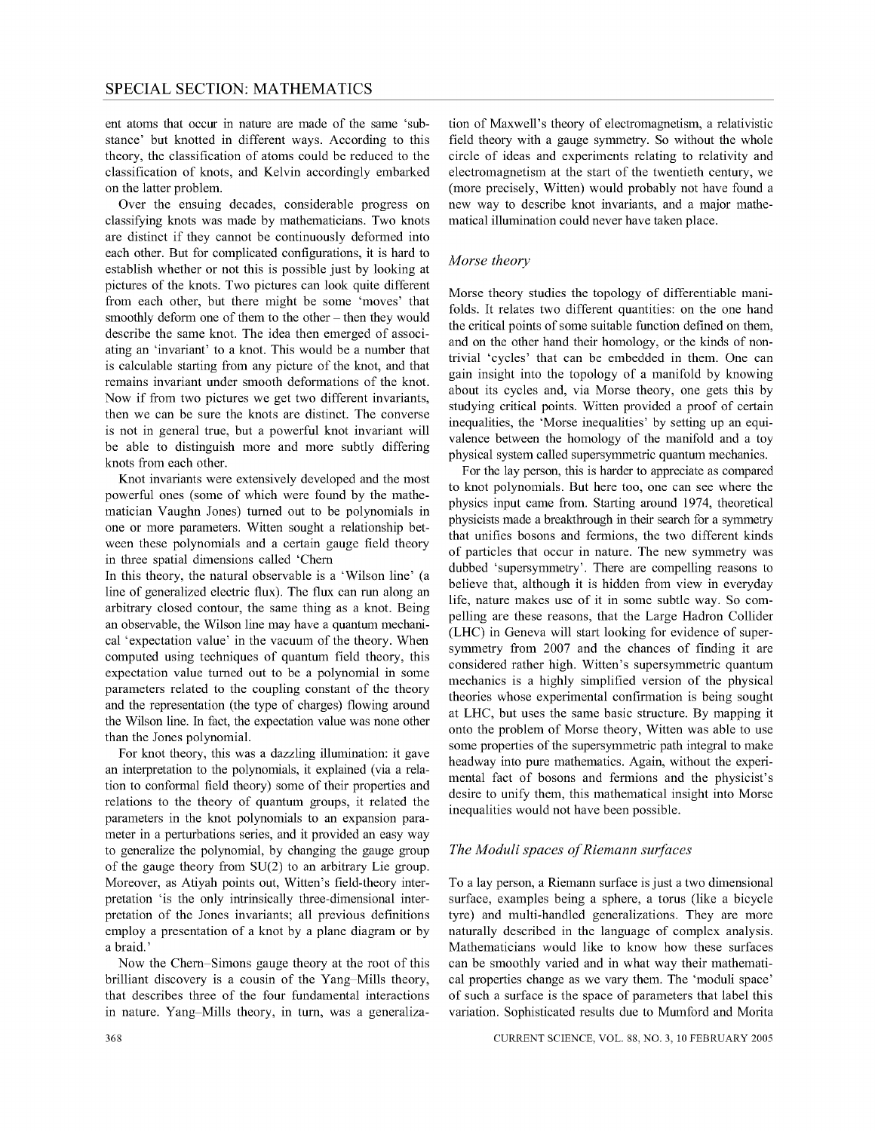ent atoms that occur in nature are made of the same 'substance' but knotted in different ways. According to this theory, the classification of atoms could be reduced to the classification of knots, and Kelvin accordingly embarked on the latter problem.

Over the ensuing decades, considerable progress on classifying knots was made by mathematicians. Two knots are distinct if they cannot be continuously deformed into each other. But for complicated configurations, it is hard to establish whether or not this is possible just by looking at pictures of the knots. Two pictures can look quite different from each other, but there might be some 'moves' that smoothly deform one of them to the other – then they would describe the same knot. The idea then emerged of associating an 'invariant' to a knot. This would be a number that is calculable starting from any picture of the knot, and that remains invariant under smooth deformations of the knot. Now if from two pictures we get two different invariants, then we can be sure the knots are distinct. The converse is not in general true, but a powerful knot invariant will be able to distinguish more and more subtly differing knots from each other.

Knot invariants were extensively developed and the most powerful ones (some of which were found by the mathematician Vaughn Jones) turned out to be polynomials in one or more parameters. Witten sought a relationship between these polynomials and a certain gauge field theory in three spatial dimensions called 'Chern

In this theory, the natural observable is a 'Wilson line' (a line of generalized electric flux). The flux can run along an arbitrary closed contour, the same thing as a knot. Being an observable, the Wilson line may have a quantum mechanical 'expectation value' in the vacuum of the theory. When computed using techniques of quantum field theory, this expectation value turned out to be a polynomial in some parameters related to the coupling constant of the theory and the representation (the type of charges) flowing around the Wilson line. In fact, the expectation value was none other than the Jones polynomial.

For knot theory, this was a dazzling illumination: it gave an interpretation to the polynomials, it explained (via a relation to conformal field theory) some of their properties and relations to the theory of quantum groups, it related the parameters in the knot polynomials to an expansion parameter in a perturbations series, and it provided an easy way to generalize the polynomial, by changing the gauge group of the gauge theory from SU(2) to an arbitrary Lie group. Moreover, as Atiyah points out, Witten's field-theory interpretation 'is the only intrinsically three-dimensional interpretation of the Jones invariants; all previous definitions employ a presentation of a knot by a plane diagram or by a braid.'

Now the Chern-Simons gauge theory at the root of this brilliant discovery is a cousin of the Yang-Mills theory, that describes three of the four fundamental interactions in nature. Yang-Mills theory, in tum, was a generalization of Maxwell's theory of electromagnetism, a relativistic field theory with a gauge symmetry. So without the whole circle of ideas and experiments relating to relativity and electromagnetism at the start of the twentieth century, we (more precisely, Witten) would probably not have found a new way to describe knot invariants, and a major mathematical illumination could never have taken place.

# *Morse theory*

Morse theory studies the topology of differentiable manifolds. It relates two different quantities: on the one hand the critical points of some suitable function defined on them, and on the other hand their homology, or the kinds of nontrivial 'cycles' that can be embedded in them. One can gain insight into the topology of a manifold by knowing about its cycles and, via Morse theory, one gets this by studying critical points. Witten provided a proof of certain inequalities, the 'Morse inequalities' by setting up an equivalence between the homology of the manifold and a toy physical system called supersymmetric quantum mechanics.

For the lay person, this is harder to appreciate as compared to knot polynomials. But here too, one can see where the physics input came from. Starting around 1974, theoretical physicists made a breakthrough in their search for a symmetry that unifies bosons and fermions, the two different kinds of particles that occur in nature. The new symmetry was dubbed 'supersymmetry'. There are compelling reasons to believe that, although it is hidden from view in everyday life, nature makes use of it in some subtle way. So compelling are these reasons, that the Large Hadron Collider (LHC) in Geneva will start looking for evidence of supersymmetry from 2007 and the chances of finding it are considered rather high. Witten's supersymmetric quantum mechanics is a highly simplified version of the physical theories whose experimental confirmation is being sought at LHC, but uses the same basic structure. By mapping it onto the problem of Morse theory, Witten was able to use some properties of the supersymmetric path integral to make headway into pure mathematics. Again, without the experimental fact of bosons and fermions and the physicist's desire to unify them, this mathematical insight into Morse inequalities would not have been possible.

# *The Moduli spaces of Riemann surfaces*

To a lay person, a Riemann surface is just a two dimensional surface, examples being a sphere, a torus (like a bicycle tyre) and multi-handled generalizations. They are more naturally described in the language of complex analysis. Mathematicians would like to know how these surfaces can be smoothly varied and in what way their mathematical properties change as we vary them. The 'moduli space' of such a surface is the space of parameters that label this variation. Sophisticated results due to Mumford and Morita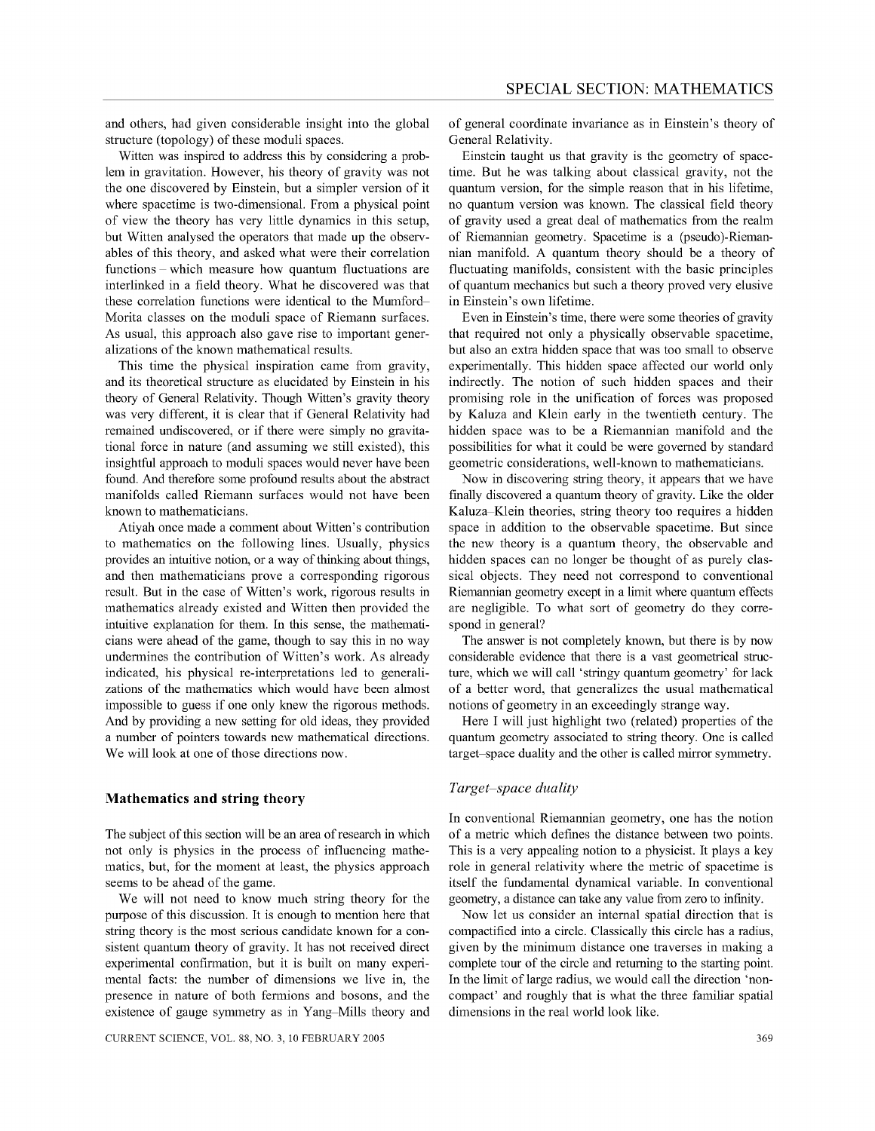and others, had given considerable insight into the global structure (topology) of these moduli spaces.

Witten was inspired to address this by considering a problem in gravitation. However, his theory of gravity was not the one discovered by Einstein, but a simpler version of it where spacetime is two-dimensional. From a physical point of view the theory has very little dynamics in this setup, but Witten analysed the operators that made up the observables of this theory, and asked what were their correlation functions - which measure how quantum fluctuations are interlinked in a field theory. What he discovered was that these correlation functions were identical to the Mumford-Morita classes on the moduli space of Riemann surfaces. As usual, this approach also gave rise to important generalizations of the known mathematical results.

This time the physical inspiration came from gravity, and its theoretical structure as elucidated by Einstein in his theory of General Relativity. Though Witten's gravity theory was very different, it is clear that if General Relativity had remained undiscovered, or if there were simply no gravitational force in nature (and assuming we still existed), this insightful approach to moduli spaces would never have been found. And therefore some profound results about the abstract manifolds called Riemann surfaces would not have been known to mathematicians.

Atiyah once made a comment about Witten's contribution to mathematics on the following lines. Usually, physics provides an intuitive notion, or a way of thinking about things, and then mathematicians prove a corresponding rigorous result. But in the case of Witten's work, rigorous results in mathematics already existed and Witten then provided the intuitive explanation for them. In this sense, the mathematicians were ahead of the game, though to say this in no way undermines the contribution of Witten's work. As already indicated, his physical re-interpretations led to generalizations of the mathematics which would have been almost impossible to guess if one only knew the rigorous methods. And by providing a new setting for old ideas, they provided a number of pointers towards new mathematical directions. We will look at one of those directions now.

#### **Mathematics and string theory**

The subject of this section will be an area of research in which not only is physics in the process of influencing mathematics, but, for the moment at least, the physics approach seems to be ahead of the game.

We will not need to know much string theory for the purpose of this discussion. It is enough to mention here that string theory is the most serious candidate known for a consistent quantum theory of gravity. It has not received direct experimental confirmation, but it is built on many experimental facts: the number of dimensions we live in, the presence in nature of both fermions and bosons, and the existence of gauge symmetry as in Yang-Mills theory and

of general coordinate invariance as in Einstein's theory of General Relativity.

Einstein taught us that gravity is the geometry of spacetime. But he was talking about classical gravity, not the quantum version, for the simple reason that in his lifetime, no quantum version was known. The classical field theory of gravity used a great deal of mathematics from the realm of Riemannian geometry. Spacetime is a (pseudo)-Riemannian manifold. A quantum theory should be a theory of fluctuating manifolds, consistent with the basic principles of quantum mechanics but such a theory proved very elusive in Einstein's own lifetime.

Even in Einstein's time, there were some theories of gravity that required not only a physically observable spacetime, but also an extra hidden space that was too small to observe experimentally. This hidden space affected our world only indirectly. The notion of such hidden spaces and their promising role in the unification of forces was proposed by Kaluza and Klein early in the twentieth century. The hidden space was to be a Riemannian manifold and the possibilities for what it could be were governed by standard geometric considerations, well-known to mathematicians.

Now in discovering string theory, it appears that we have finally discovered a quantum theory of gravity. Like the older Kaluza-Klein theories, string theory too requires a hidden space in addition to the observable spacetime. But since the new theory is a quantum theory, the observable and hidden spaces can no longer be thought of as purely classical objects. They need not correspond to conventional Riemannian geometry except in a limit where quantum effects are negligible. To what sort of geometry do they correspond in general?

The answer is not completely known, but there is by now considerable evidence that there is a vast geometrical structure, which we will call 'stringy quantum geometry' for lack of a better word, that generalizes the usual mathematical notions of geometry in an exceedingly strange way.

Here I will just highlight two (related) properties of the quantum geometry associated to string theory. One is called target-space duality and the other is called mirror symmetry.

# *Target-space duality*

In conventional Riemannian geometry, one has the notion of a metric which defines the distance between two points. This is a very appealing notion to a physicist. It plays a key role in general relativity where the metric of spacetime is itself the fundamental dynamical variable. In conventional geometry, a distance can take any value from zero to infinity.

Now let us consider an internal spatial direction that is compactified into a circle. Classically this circle has a radius, given by the minimum distance one traverses in making a complete tour of the circle and returning to the starting point. In the limit of large radius, we would call the direction 'noncompact' and roughly that is what the three familiar spatial dimensions in the real world look like.